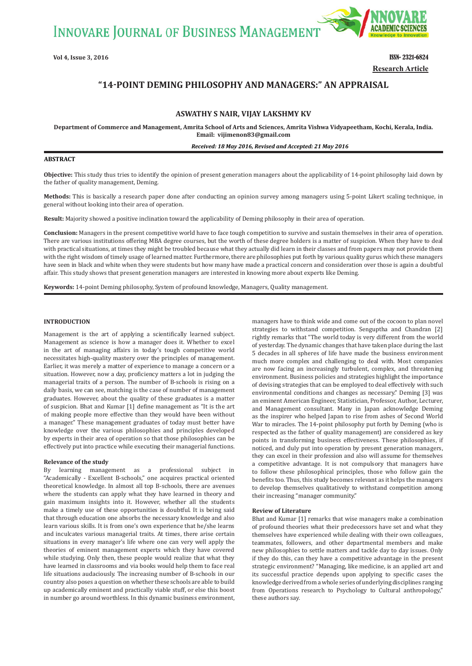**INNOVARE JOURNAL OF BUSINESS MANAGEMENT** 



**Vol 4, Issue 3, 2016** ISSN- 2321-6824 **Research Article**

# **"14ǧPOINT DEMING PHILOSOPHY AND MANAGERS:" AN APPRAISAL**

# **ASWATHY S NAIR, VIJAY LAKSHMY KV**

 **Department of Commerce and Management, Amrita School of Arts and Sciences, Amrita Vishwa Vidyapeetham, Kochi, Kerala, India. Email: vijimenon83@gmail.com**

#### *Received: 18 May 2016, Revised and Accepted: 21 May 2016*

#### **ABSTRACT**

**Objective:** This study thus tries to identify the opinion of present generation managers about the applicability of 14-point philosophy laid down by the father of quality management, Deming.

**Methods:** This is basically a research paper done after conducting an opinion survey among managers using 5-point Likert scaling technique, in general without looking into their area of operation.

**Result:** Majority showed a positive inclination toward the applicability of Deming philosophy in their area of operation.

**Conclusion:** Managers in the present competitive world have to face tough competition to survive and sustain themselves in their area of operation. There are various institutions offering MBA degree courses, but the worth of these degree holders is a matter of suspicion. When they have to deal with practical situations, at times they might be troubled because what they actually did learn in their classes and from papers may not provide them with the right wisdom of timely usage of learned matter. Furthermore, there are philosophies put forth by various quality gurus which these managers have seen in black and white when they were students but how many have made a practical concern and consideration over those is again a doubtful affair. This study shows that present generation managers are interested in knowing more about experts like Deming.

**Keywords:** 14-point Deming philosophy, System of profound knowledge, Managers, Quality management.

#### **INTRODUCTION**

Management is the art of applying a scientifically learned subject. Management as science is how a manager does it. Whether to excel in the art of managing affairs in today's tough competitive world necessitates high-quality mastery over the principles of management. Earlier, it was merely a matter of experience to manage a concern or a situation. However, now a day, proficiency matters a lot in judging the managerial traits of a person. The number of B-schools is rising on a daily basis, we can see, matching is the case of number of management graduates. However, about the quality of these graduates is a matter of suspicion. Bhat and Kumar [1] define management as "It is the art of making people more effective than they would have been without a manager." These management graduates of today must better have knowledge over the various philosophies and principles developed by experts in their area of operation so that those philosophies can be effectively put into practice while executing their managerial functions.

#### **Relevance of the study**

By learning management as a professional subject in "Academically - Excellent B-schools," one acquires practical oriented theoretical knowledge. In almost all top B-schools, there are avenues where the students can apply what they have learned in theory and gain maximum insights into it. However, whether all the students make a timely use of these opportunities is doubtful. It is being said that through education one absorbs the necessary knowledge and also learn various skills. It is from one's own experience that he/she learns and inculcates various managerial traits. At times, there arise certain situations in every manager's life where one can very well apply the theories of eminent management experts which they have covered while studying. Only then, these people would realize that what they have learned in classrooms and via books would help them to face real life situations audaciously. The increasing number of B-schools in our country also poses a question on whether these schools are able to build up academically eminent and practically viable stuff, or else this boost in number go around worthless. In this dynamic business environment, managers have to think wide and come out of the cocoon to plan novel strategies to withstand competition. Senguptha and Chandran [2] rightly remarks that "The world today is very different from the world of yesterday. The dynamic changes that have taken place during the last 5 decades in all spheres of life have made the business environment much more complex and challenging to deal with. Most companies are now facing an increasingly turbulent, complex, and threatening environment. Business policies and strategies highlight the importance of devising strategies that can be employed to deal effectively with such environmental conditions and changes as necessary." Deming [3] was an eminent American Engineer, Statistician, Professor, Author, Lecturer, and Management consultant. Many in Japan acknowledge Deming as the inspirer who helped Japan to rise from ashes of Second World War to miracles. The 14-point philosophy put forth by Deming (who is respected as the father of quality management) are considered as key points in transforming business effectiveness. These philosophies, if noticed, and duly put into operation by present generation managers, they can excel in their profession and also will assume for themselves a competitive advantage. It is not compulsory that managers have to follow these philosophical principles, those who follow gain the benefits too. Thus, this study becomes relevant as it helps the managers to develop themselves qualitatively to withstand competition among their increasing "manager community."

#### **Review of Literature**

Bhat and Kumar [1] remarks that wise managers make a combination of profound theories what their predecessors have set and what they themselves have experienced while dealing with their own colleagues, teammates, followers, and other departmental members and make new philosophies to settle matters and tackle day to day issues. Only if they do this, can they have a competitive advantage in the present strategic environment? "Managing, like medicine, is an applied art and its successful practice depends upon applying to specific cases the knowledge derived from a whole series of underlying disciplines ranging from Operations research to Psychology to Cultural anthropology," these authors say.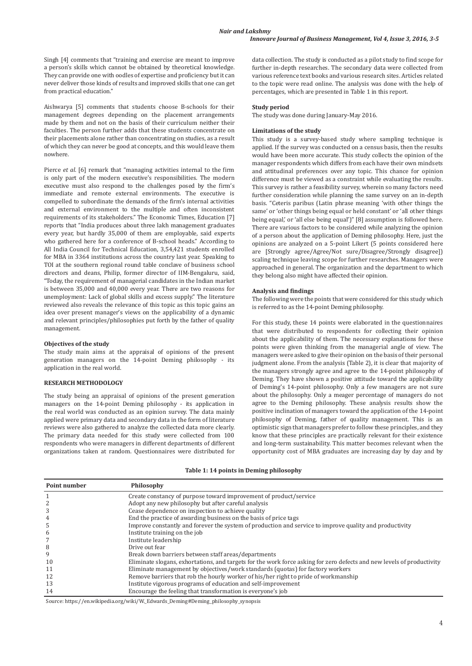Singh [4] comments that "training and exercise are meant to improve a person's skills which cannot be obtained by theoretical knowledge. They can provide one with oodles of expertise and proficiency but it can never deliver those kinds of results and improved skills that one can get from practical education."

Aishwarya [5] comments that students choose B-schools for their management degrees depending on the placement arrangements made by them and not on the basis of their curriculum neither their faculties. The person further adds that these students concentrate on their placements alone rather than concentrating on studies, as a result of which they can never be good at concepts, and this would leave them nowhere.

Pierce *et al.* [6] remark that "managing activities internal to the firm is only part of the modern executive's responsibilities. The modern executive must also respond to the challenges posed by the firm's immediate and remote external environments. The executive is compelled to subordinate the demands of the firm's internal activities and external environment to the multiple and often inconsistent requirements of its stakeholders." The Economic Times, Education [7] reports that "India produces about three lakh management graduates every year, but hardly 35,000 of them are employable, said experts who gathered here for a conference of B-school heads." According to All India Council for Technical Education, 3,54,421 students enrolled for MBA in 3364 institutions across the country last year. Speaking to TOI at the southern regional round table conclave of business school directors and deans, Philip, former director of IIM-Bengaluru, said, "Today, the requirement of managerial candidates in the Indian market is between 35,000 and 40,000 every year. There are two reasons for unemployment: Lack of global skills and excess supply." The literature reviewed also reveals the relevance of this topic as this topic gains an idea over present manager's views on the applicability of a dynamic and relevant principles/philosophies put forth by the father of quality management.

# **Objectives of the study**

The study main aims at the appraisal of opinions of the present generation managers on the 14-point Deming philosophy - its application in the real world.

# **RESEARCH METHODOLOGY**

The study being an appraisal of opinions of the present generation managers on the 14-point Deming philosophy - its application in the real world was conducted as an opinion survey. The data mainly applied were primary data and secondary data in the form of literature reviews were also gathered to analyze the collected data more clearly. The primary data needed for this study were collected from 100 respondents who were managers in different departments of different organizations taken at random. Questionnaires were distributed for data collection. The study is conducted as a pilot study to find scope for further in-depth researches. The secondary data were collected from various reference text books and various research sites. Articles related to the topic were read online. The analysis was done with the help of percentages, which are presented in Table 1 in this report.

#### **Study period**

The study was done during January-May 2016.

# **Limitations of the study**

This study is a survey-based study where sampling technique is applied. If the survey was conducted on a census basis, then the results would have been more accurate. This study collects the opinion of the manager respondents which differs from each have their own mindsets and attitudinal preferences over any topic. This chance for opinion difference must be viewed as a constraint while evaluating the results. This survey is rather a feasibility survey, wherein so many factors need further consideration while planning the same survey on an in-depth basis. "Ceteris paribus (Latin phrase meaning 'with other things the same' or 'other things being equal or held constant' or 'all other things being equal,' or 'all else being equal')" [8] assumption is followed here. There are various factors to be considered while analyzing the opinion of a person about the application of Deming philosophy. Here, just the opinions are analyzed on a 5-point Likert (5 points considered here are [Strongly agree/Agree/Not sure/Disagree/Strongly disagree]) scaling technique leaving scope for further researches. Managers were approached in general. The organization and the department to which they belong also might have affected their opinion.

# **Analysis and findings**

The following were the points that were considered for this study which is referred to as the 14-point Deming philosophy.

For this study, these 14 points were elaborated in the questionnaires that were distributed to respondents for collecting their opinion about the applicability of them. The necessary explanations for these points were given thinking from the managerial angle of view. The managers were asked to give their opinion on the basis of their personal judgment alone. From the analysis (Table 2), it is clear that majority of the managers strongly agree and agree to the 14-point philosophy of Deming. They have shown a positive attitude toward the applicability of Deming's 14-point philosophy. Only a few managers are not sure about the philosophy. Only a meager percentage of managers do not agree to the Deming philosophy. These analysis results show the positive inclination of managers toward the application of the 14-point philosophy of Deming, father of quality management. This is an optimistic sign that managers prefer to follow these principles, and they know that these principles are practically relevant for their existence and long-term sustainability. This matter becomes relevant when the opportunity cost of MBA graduates are increasing day by day and by

# **Table 1: 14 points in Deming philosophy**

| Point number | Philosophy                                                                                                             |
|--------------|------------------------------------------------------------------------------------------------------------------------|
|              | Create constancy of purpose toward improvement of product/service                                                      |
|              | Adopt any new philosophy but after careful analysis                                                                    |
|              | Cease dependence on inspection to achieve quality                                                                      |
|              | End the practice of awarding business on the basis of price tags                                                       |
| 5            | Improve constantly and forever the system of production and service to improve quality and productivity                |
| 6            | Institute training on the job                                                                                          |
|              | Institute leadership                                                                                                   |
| 8            | Drive out fear                                                                                                         |
| 9            | Break down barriers between staff areas/departments                                                                    |
| 10           | Eliminate slogans, exhortations, and targets for the work force asking for zero defects and new levels of productivity |
| 11           | Eliminate management by objectives/work standards (quotas) for factory workers                                         |
| 12           | Remove barriers that rob the hourly worker of his/her right to pride of workmanship                                    |
| 13           | Institute vigorous programs of education and self-improvement                                                          |
| 14           | Encourage the feeling that transformation is everyone's job                                                            |

Source: https://en.wikipedia.org/wiki/W.\_Edwards\_Deming#Deming\_philosophy\_synopsis